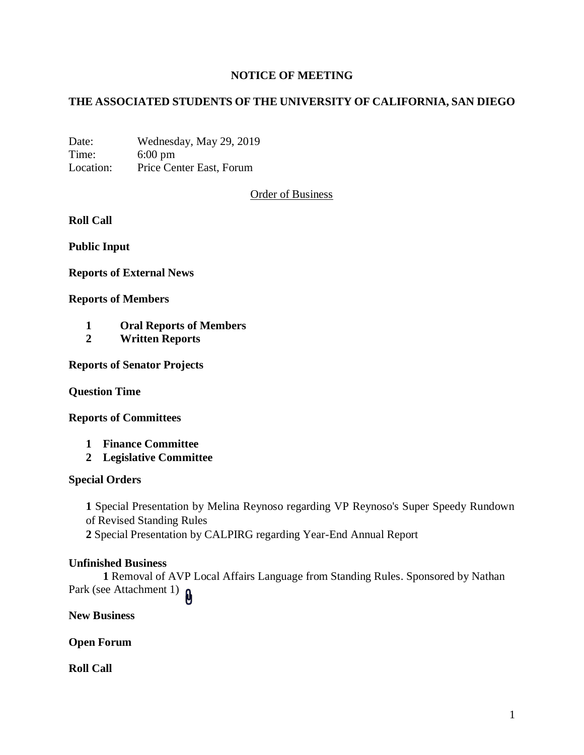# **NOTICE OF MEETING**

# **THE ASSOCIATED STUDENTS OF THE UNIVERSITY OF CALIFORNIA, SAN DIEGO**

Date: Wednesday, May 29, 2019 Time: 6:00 pm Location: Price Center East, Forum

Order of Business

**Roll Call**

**Public Input**

**Reports of External News**

**Reports of Members**

- **1 Oral Reports of Members**
- **2 Written Reports**

**Reports of Senator Projects**

**Question Time**

**Reports of Committees**

- **1 Finance Committee**
- **2 Legislative Committee**

#### **Special Orders**

**1** Special Presentation by Melina Reynoso regarding VP Reynoso's Super Speedy Rundown of Revised Standing Rules **2** Special Presentation by CALPIRG regarding Year-End Annual Report

#### **Unfinished Business**

**1** Removal of AVP Local Affairs Language from Standing Rules. Sponsored by Nathan Park (see Attachment 1)

**New Business**

**Open Forum**

**Roll Call**